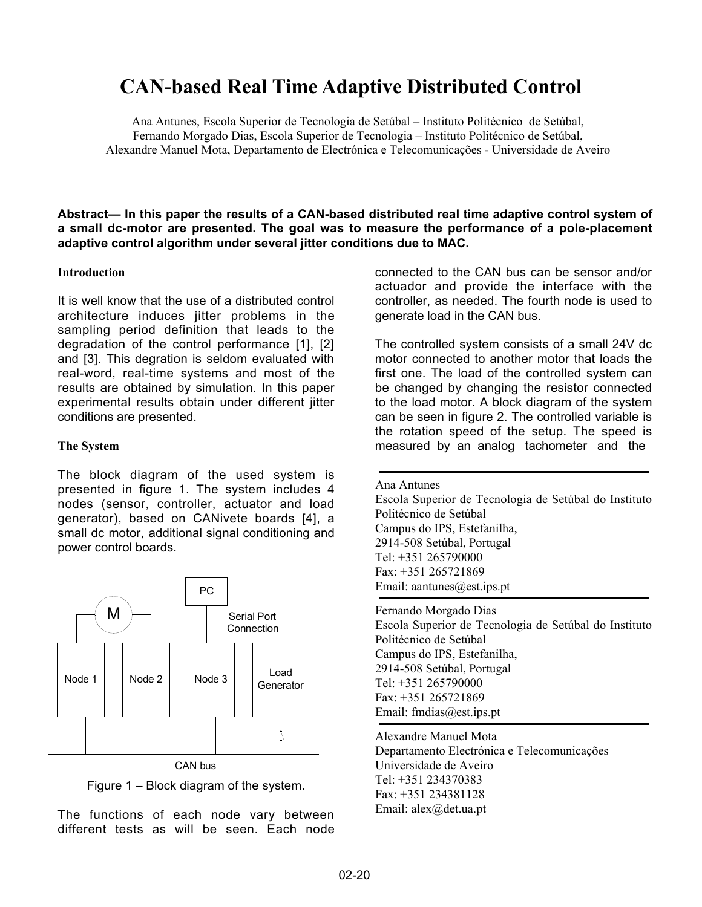# **CAN-based Real Time Adaptive Distributed Control**

Ana Antunes, Escola Superior de Tecnologia de Setúbal – Instituto Politécnico de Setúbal, Fernando Morgado Dias, Escola Superior de Tecnologia – Instituto Politécnico de Setúbal, Alexandre Manuel Mota, Departamento de Electrónica e Telecomunicações - Universidade de Aveiro

**Abstract— In this paper the results of a CAN-based distributed real time adaptive control system of a small dc-motor are presented. The goal was to measure the performance of a pole-placement adaptive control algorithm under several jitter conditions due to MAC.**

#### **Introduction**

It is well know that the use of a distributed control architecture induces jitter problems in the sampling period definition that leads to the degradation of the control performance [1], [2] and [3]. This degration is seldom evaluated with real-word, real-time systems and most of the results are obtained by simulation. In this paper experimental results obtain under different jitter conditions are presented.

#### **The System**

The block diagram of the used system is presented in figure 1. The system includes 4 nodes (sensor, controller, actuator and load generator), based on CANivete boards [4], a small dc motor, additional signal conditioning and power control boards.



Figure 1 – Block diagram of the system.

The functions of each node vary between different tests as will be seen. Each node

connected to the CAN bus can be sensor and/or actuador and provide the interface with the controller, as needed. The fourth node is used to generate load in the CAN bus.

The controlled system consists of a small 24V dc motor connected to another motor that loads the first one. The load of the controlled system can be changed by changing the resistor connected to the load motor. A block diagram of the system can be seen in figure 2. The controlled variable is the rotation speed of the setup. The speed is measured by an analog tachometer and the

Ana Antunes Escola Superior de Tecnologia de Setúbal do Instituto Politécnico de Setúbal Campus do IPS, Estefanilha, 2914-508 Setúbal, Portugal Tel: +351 265790000 Fax: +351 265721869 Email: aantunes@est.ips.pt

Fernando Morgado Dias Escola Superior de Tecnologia de Setúbal do Instituto Politécnico de Setúbal Campus do IPS, Estefanilha, 2914-508 Setúbal, Portugal Tel: +351 265790000 Fax: +351 265721869 Email: fmdias@est.ips.pt

Alexandre Manuel Mota Departamento Electrónica e Telecomunicações Universidade de Aveiro Tel: +351 234370383 Fax: +351 234381128 Email: alex@det.ua.pt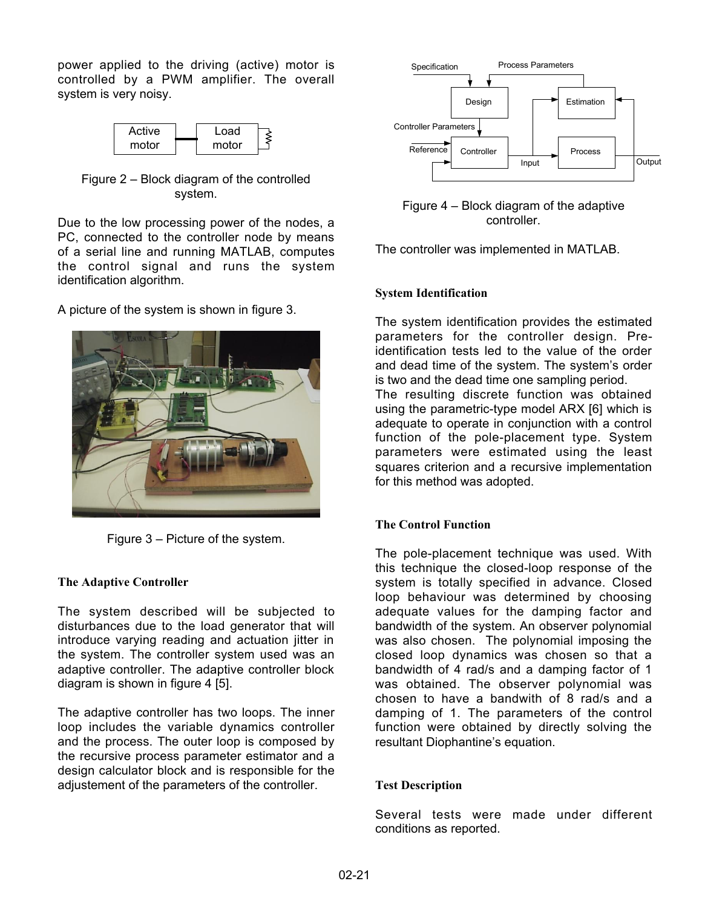power applied to the driving (active) motor is controlled by a PWM amplifier. The overall system is very noisy.



Figure 2 – Block diagram of the controlled system.

Due to the low processing power of the nodes, a PC, connected to the controller node by means of a serial line and running MATLAB, computes the control signal and runs the system identification algorithm.

A picture of the system is shown in figure 3.



Figure 3 – Picture of the system.

# **The Adaptive Controller**

The system described will be subjected to disturbances due to the load generator that will introduce varying reading and actuation jitter in the system. The controller system used was an adaptive controller. The adaptive controller block diagram is shown in figure 4 [5].

The adaptive controller has two loops. The inner loop includes the variable dynamics controller and the process. The outer loop is composed by the recursive process parameter estimator and a design calculator block and is responsible for the adjustement of the parameters of the controller.



Figure 4 – Block diagram of the adaptive controller.

The controller was implemented in MATLAB.

## **System Identification**

The system identification provides the estimated parameters for the controller design. Preidentification tests led to the value of the order and dead time of the system. The system's order is two and the dead time one sampling period.

The resulting discrete function was obtained using the parametric-type model ARX [6] which is adequate to operate in conjunction with a control function of the pole-placement type. System parameters were estimated using the least squares criterion and a recursive implementation for this method was adopted.

# **The Control Function**

The pole-placement technique was used. With this technique the closed-loop response of the system is totally specified in advance. Closed loop behaviour was determined by choosing adequate values for the damping factor and bandwidth of the system. An observer polynomial was also chosen. The polynomial imposing the closed loop dynamics was chosen so that a bandwidth of 4 rad/s and a damping factor of 1 was obtained. The observer polynomial was chosen to have a bandwith of 8 rad/s and a damping of 1. The parameters of the control function were obtained by directly solving the resultant Diophantine's equation.

#### **Test Description**

Several tests were made under different conditions as reported.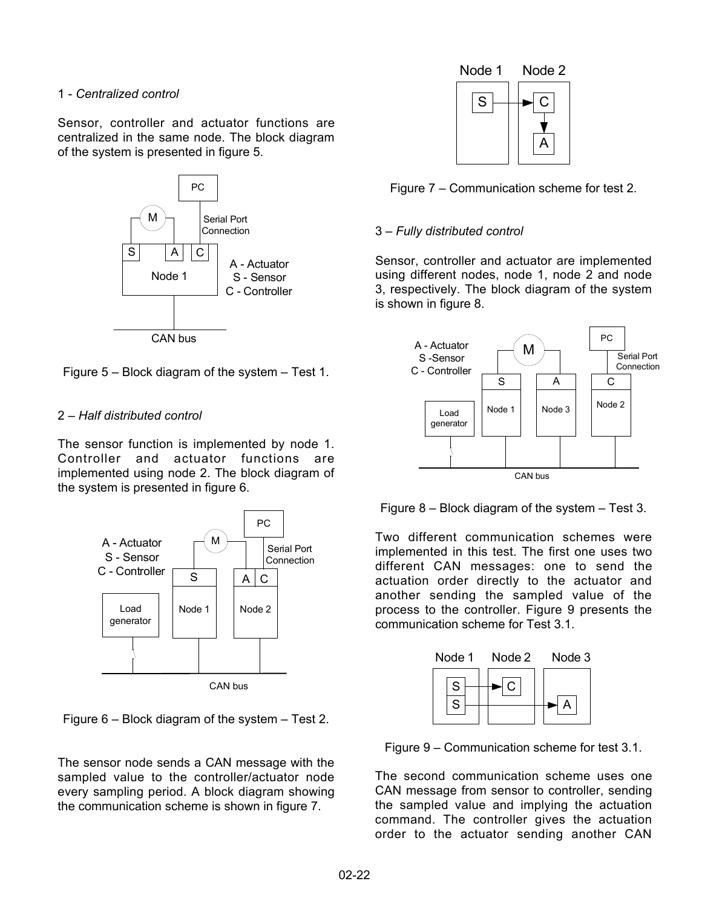## 1 - *Centralized control*

Sensor, controller and actuator functions are centralized in the same node. The block diagram of the system is presented in figure 5.



Figure 5 – Block diagram of the system – Test 1.

## 2 – *Half distributed control*

The sensor function is implemented by node 1. Controller and actuator functions are implemented using node 2. The block diagram of the system is presented in figure 6.



Figure 6 – Block diagram of the system – Test 2.

The sensor node sends a CAN message with the sampled value to the controller/actuator node every sampling period. A block diagram showing the communication scheme is shown in figure 7.





## 3 – *Fully distributed control*

Sensor, controller and actuator are implemented using different nodes, node 1, node 2 and node 3, respectively. The block diagram of the system is shown in figure 8.





Two different communication schemes were implemented in this test. The first one uses two different CAN messages: one to send the actuation order directly to the actuator and another sending the sampled value of the process to the controller. Figure 9 presents the communication scheme for Test 3.1.



Figure 9 – Communication scheme for test 3.1.

The second communication scheme uses one CAN message from sensor to controller, sending the sampled value and implying the actuation command. The controller gives the actuation order to the actuator sending another CAN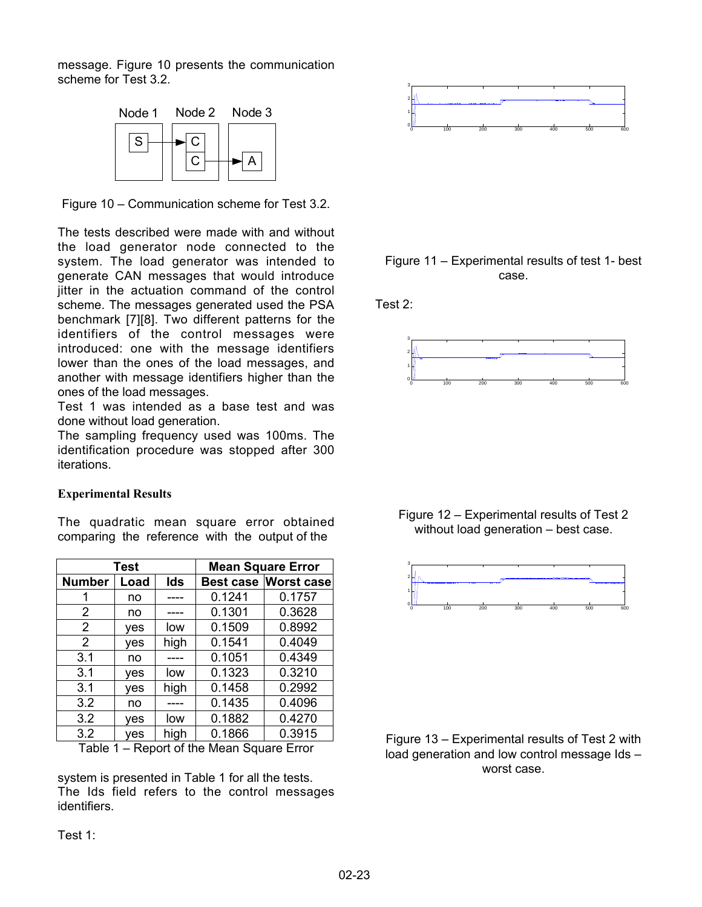message. Figure 10 presents the communication scheme for Test 3.2.



Figure 10 – Communication scheme for Test 3.2.

The tests described were made with and without the load generator node connected to the system. The load generator was intended to generate CAN messages that would introduce jitter in the actuation command of the control scheme. The messages generated used the PSA benchmark [7][8]. Two different patterns for the identifiers of the control messages were introduced: one with the message identifiers lower than the ones of the load messages, and another with message identifiers higher than the ones of the load messages.

Test 1 was intended as a base test and was done without load generation.

The sampling frequency used was 100ms. The identification procedure was stopped after 300 iterations.

#### **Experimental Results**

The quadratic mean square error obtained comparing the reference with the output of the

| <b>Test</b>    |      |      | <b>Mean Square Error</b> |                             |
|----------------|------|------|--------------------------|-----------------------------|
| <b>Number</b>  | Load | Ids  |                          | <b>Best case Worst case</b> |
|                | no   |      | 0.1241                   | 0.1757                      |
| 2              | no   |      | 0.1301                   | 0.3628                      |
| $\overline{2}$ | ves  | low  | 0.1509                   | 0.8992                      |
| 2              | yes  | high | 0.1541                   | 0.4049                      |
| 3.1            | no   |      | 0.1051                   | 0.4349                      |
| 3.1            | yes  | low  | 0.1323                   | 0.3210                      |
| 3.1            | yes  | high | 0.1458                   | 0.2992                      |
| 3.2            | no   |      | 0.1435                   | 0.4096                      |
| 3.2            | yes  | low  | 0.1882                   | 0.4270                      |
| 3.2            | yes  | high | 0.1866                   | 0.3915                      |

Table 1 – Report of the Mean Square Error

system is presented in Table 1 for all the tests. The Ids field refers to the control messages identifiers.



## Figure 11 – Experimental results of test 1- best case.

Test 2:



Figure 12 – Experimental results of Test 2 without load generation – best case.



Figure 13 – Experimental results of Test 2 with load generation and low control message Ids – worst case.

Test 1: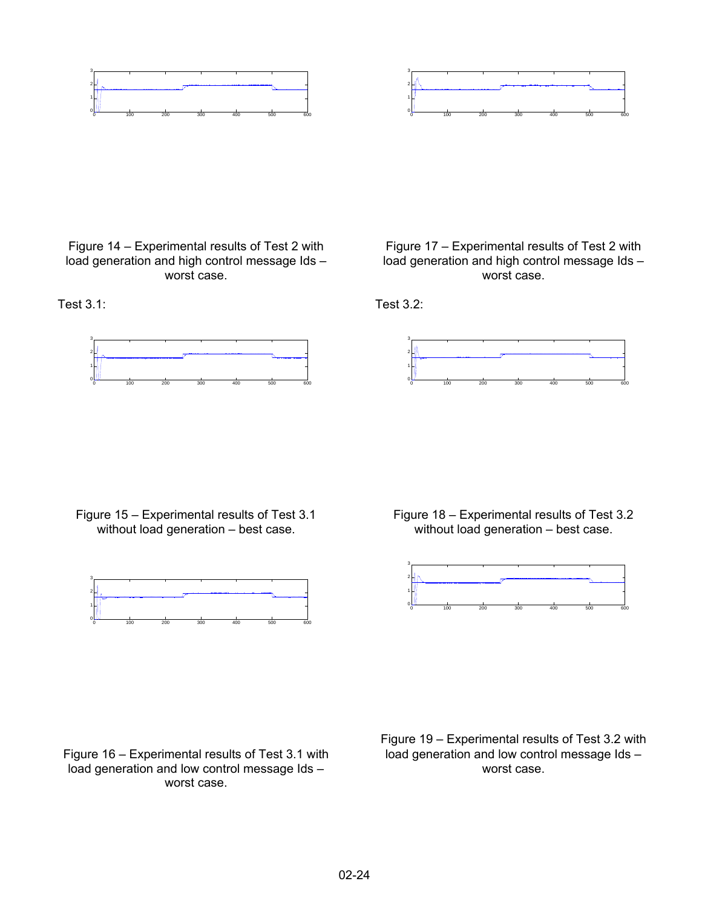



Figure 14 – Experimental results of Test 2 with load generation and high control message Ids – worst case.

Test 3.1:





Test 3.2:



Figure 15 – Experimental results of Test 3.1 without load generation – best case.



Figure 18 – Experimental results of Test 3.2 without load generation – best case.



Figure 16 – Experimental results of Test 3.1 with load generation and low control message Ids – worst case.

Figure 19 – Experimental results of Test 3.2 with load generation and low control message Ids – worst case.